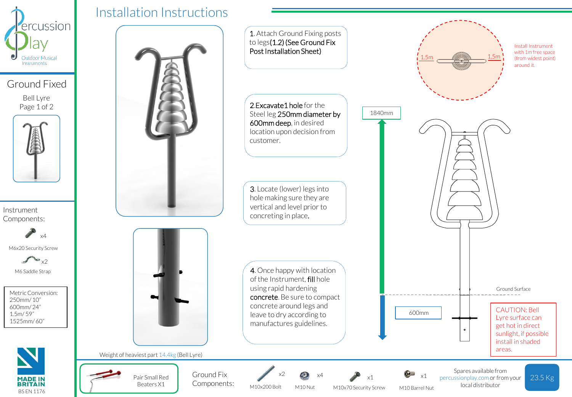

Ground Fixed

Bell Lyre Page 1 of 2



Instrument Components:



M6x20 Security Screw



M6 Saddle Strap

Metric Conversion: 250mm/ 10" 600mm/ 24" 1.5m/ 59" 1525mm/ 60"



## Installation Instructions





Weight of heaviest part 14.4kg (Bell Lyre)



Ground Fix  $x^2$   $\infty$   $x^4$   $\infty$   $\infty$   $x^1$ Components:

M10x200 Bolt x2

M10 Nut x4

M10x70 Security Screw M10 Barrel Nut

Spares available from percussionplay.com or from your local distributor

areas.

23.5 Kg